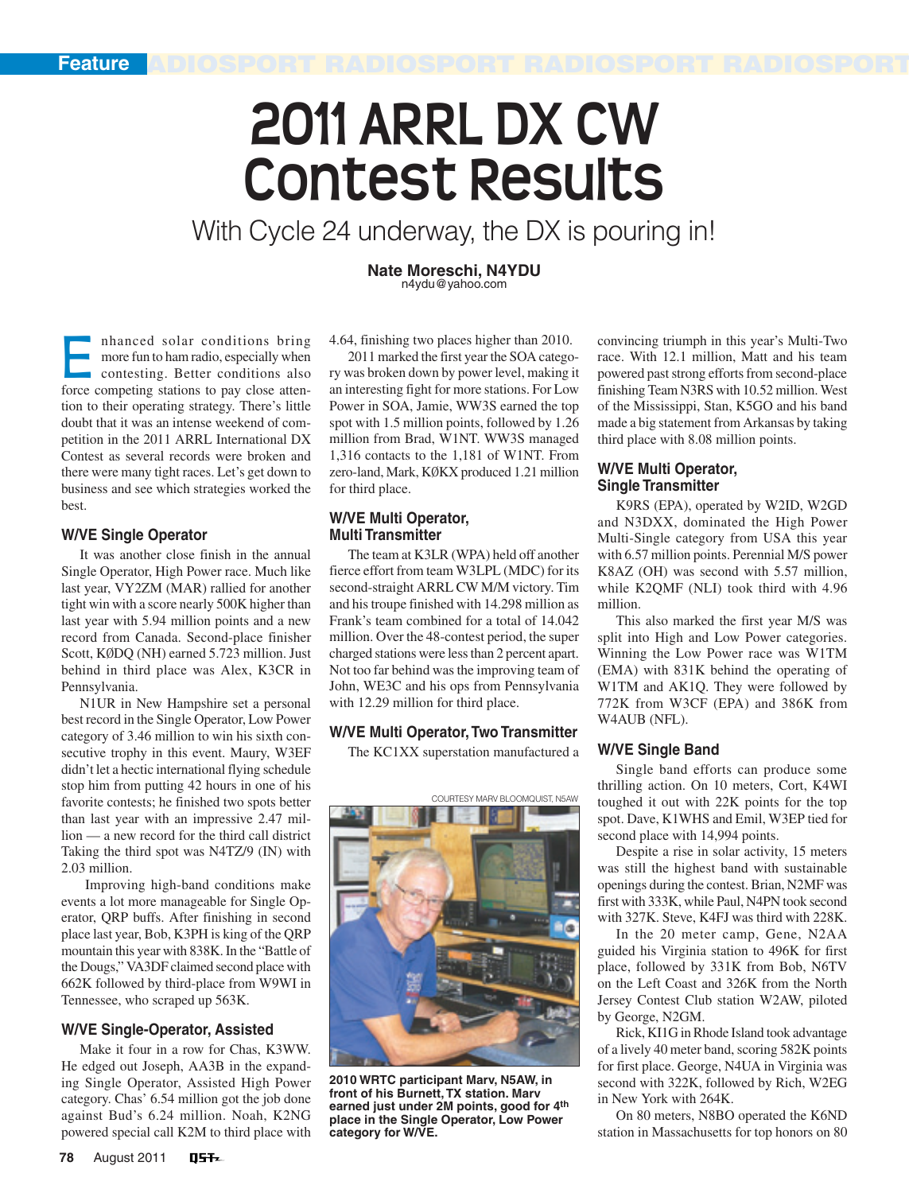Feature **Ridiosport Radiosport Radiosport Radiosport** 

# **2011 ARRL DX CW Contest Results**

With Cycle 24 underway, the DX is pouring in!

**Nate Moreschi, N4YDU** n4ydu@yahoo.com

**E** nhanced solar conditions bring<br>more fun to ham radio, especially when<br>contesting. Better conditions also<br>force competing stations to pay close attenmore fun to ham radio, especially when contesting. Better conditions also tion to their operating strategy. There's little doubt that it was an intense weekend of competition in the 2011 ARRL International DX Contest as several records were broken and there were many tight races. Let's get down to business and see which strategies worked the best.

#### **W/VE Single Operator**

It was another close finish in the annual Single Operator, High Power race. Much like last year, VY2ZM (MAR) rallied for another tight win with a score nearly 500K higher than last year with 5.94 million points and a new record from Canada. Second-place finisher Scott, KØDQ (NH) earned 5.723 million. Just behind in third place was Alex, K3CR in Pennsylvania.

N1UR in New Hampshire set a personal best record in the Single Operator, Low Power category of 3.46 million to win his sixth consecutive trophy in this event. Maury, W3EF didn't let a hectic international flying schedule stop him from putting 42 hours in one of his favorite contests; he finished two spots better than last year with an impressive 2.47 million — a new record for the third call district Taking the third spot was N4TZ/9 (IN) with 2.03 million.

 Improving high-band conditions make events a lot more manageable for Single Operator, QRP buffs. After finishing in second place last year, Bob, K3PH is king of the QRP mountain this year with 838K. In the "Battle of the Dougs," VA3DF claimed second place with 662K followed by third-place from W9WI in Tennessee, who scraped up 563K.

#### **W/VE Single-Operator, Assisted**

Make it four in a row for Chas, K3WW. He edged out Joseph, AA3B in the expanding Single Operator, Assisted High Power category. Chas' 6.54 million got the job done against Bud's 6.24 million. Noah, K2NG powered special call K2M to third place with 4.64, finishing two places higher than 2010.

2011 marked the first year the SOA category was broken down by power level, making it an interesting fight for more stations. For Low Power in SOA, Jamie, WW3S earned the top spot with 1.5 million points, followed by 1.26 million from Brad, W1NT. WW3S managed 1,316 contacts to the 1,181 of W1NT. From zero-land, Mark, KØKX produced 1.21 million for third place.

#### **W/VE Multi Operator, Multi Transmitter**

The team at K3LR (WPA) held off another fierce effort from team W3LPL (MDC) for its second-straight ARRL CW M/M victory. Tim and his troupe finished with 14.298 million as Frank's team combined for a total of 14.042 million. Over the 48-contest period, the super charged stations were less than 2 percent apart. Not too far behind was the improving team of John, WE3C and his ops from Pennsylvania with 12.29 million for third place.

# **W/VE Multi Operator,Two Transmitter**

The KC1XX superstation manufactured a



**2010 WRTC participant Marv, N5AW, in front of his Burnett,TX station. Marv earned just under 2M points, good for 4th place in the Single Operator, Low Power category for W/VE.**

convincing triumph in this year's Multi-Two race. With 12.1 million, Matt and his team powered past strong efforts from second-place finishing Team N3RS with 10.52 million. West of the Mississippi, Stan, K5GO and his band made a big statement from Arkansas by taking third place with 8.08 million points.

# **W/VE Multi Operator, Single Transmitter**

K9RS (EPA), operated by W2ID, W2GD and N3DXX, dominated the High Power Multi-Single category from USA this year with 6.57 million points. Perennial M/S power K8AZ (OH) was second with 5.57 million, while K2QMF (NLI) took third with 4.96 million.

This also marked the first year M/S was split into High and Low Power categories. Winning the Low Power race was W1TM (EMA) with 831K behind the operating of W1TM and AK1Q. They were followed by 772K from W3CF (EPA) and 386K from W4AUB (NFL).

#### **W/VE Single Band**

Single band efforts can produce some thrilling action. On 10 meters, Cort, K4WI toughed it out with 22K points for the top spot. Dave, K1WHS and Emil, W3EP tied for second place with 14,994 points.

Despite a rise in solar activity, 15 meters was still the highest band with sustainable openings during the contest. Brian, N2MF was first with 333K, while Paul, N4PN took second with 327K. Steve, K4FJ was third with 228K.

In the 20 meter camp, Gene, N2AA guided his Virginia station to 496K for first place, followed by 331K from Bob, N6TV on the Left Coast and 326K from the North Jersey Contest Club station W2AW, piloted by George, N2GM.

Rick, KI1G in Rhode Island took advantage of a lively 40 meter band, scoring 582K points for first place. George, N4UA in Virginia was second with 322K, followed by Rich, W2EG in New York with 264K.

On 80 meters, N8BO operated the K6ND station in Massachusetts for top honors on 80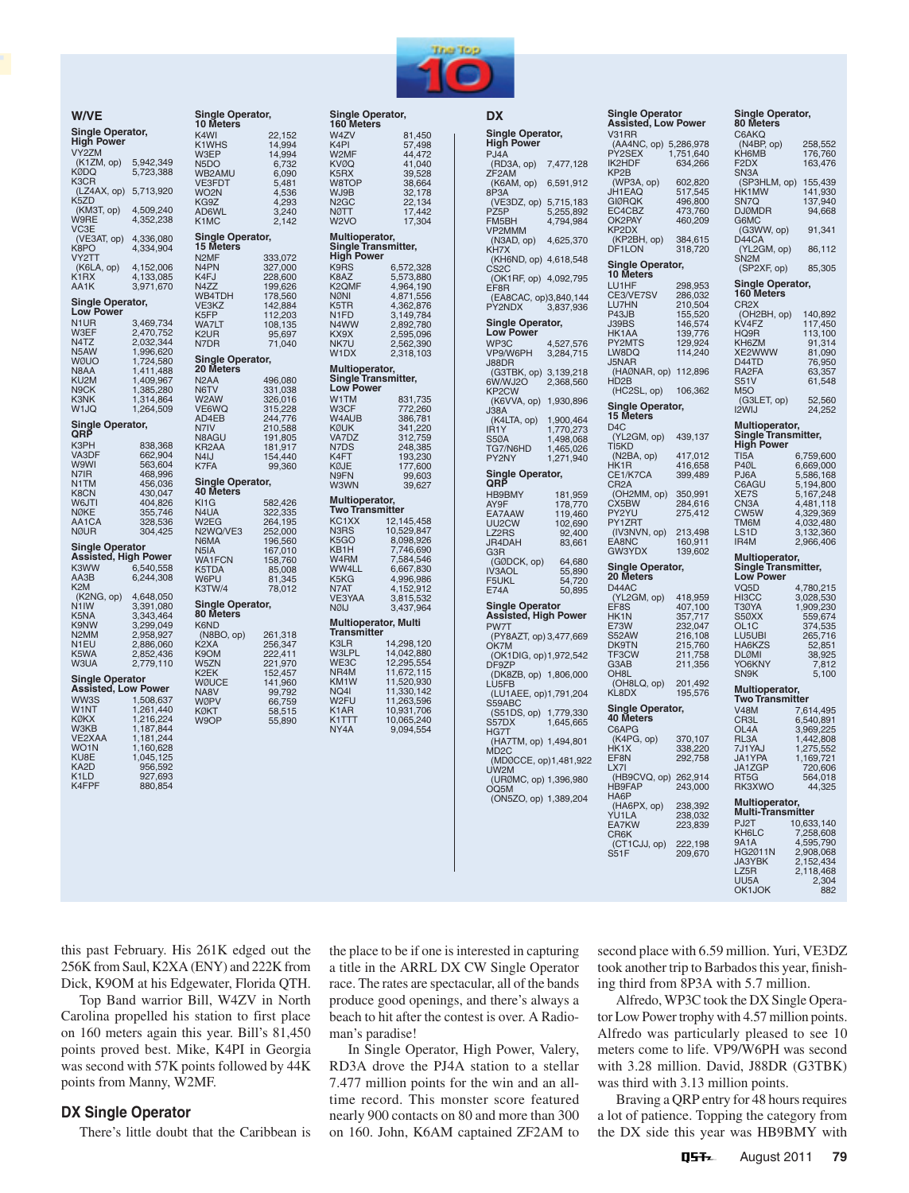

|                             |                        | 10 Meters                  |                    |
|-----------------------------|------------------------|----------------------------|--------------------|
| <b>Single Operator,</b>     |                        | K4WI                       | 22,152             |
| <b>High Power</b>           |                        | K1WHS                      | 14,994             |
| VY2ZM                       |                        | W3EP                       | 14,994             |
| (K1ZM, op)                  | 5,942,349              | N <sub>5</sub> DO          | 6,732              |
| <b>KØDQ</b>                 | 5,723,388              | WB2AMU                     | 6,090              |
| K3CR                        |                        | <b>VE3FDT</b>              | 5,481              |
| (LZ4AX, op)<br>K5ZD         | 5,713,920              | WO2N                       | 4,536              |
| (KM3T, op)                  | 4,509,240              | KG9Z                       | 4,293              |
| W9RE                        | 4,352,238              | AD6WL<br>K <sub>1</sub> MC | 3,240              |
| VC3E                        |                        |                            | 2,142              |
| (VE3AT, op)                 | 4,336,080              | Single Operator,           |                    |
| K8PO                        | 4,334,904              | 15 Meters                  |                    |
| VY2TT                       |                        | N <sub>2</sub> MF          | 333,072            |
| (K6LA, op)                  | 4,152,006              | N <sub>4</sub> PN          | 327,000            |
| K1RX                        | 4,133,085              | K4FJ                       | 228,600            |
| AA1K                        | 3,971,670              | N4ZZ                       | 199,626            |
|                             |                        | WB4TDH                     | 178,560            |
| Single Operator,            |                        | VE3KZ                      | 142,884            |
| <b>Low Power</b>            |                        | K5FP                       | 112,203            |
| N <sub>1</sub> UR           | 3,469,734              | <b>WA7LT</b>               | 108,135            |
| W3EF                        | 2,470,752              | K2UR                       | 95,697             |
| N4TZ                        | 2,032,344              | N7DR                       | 71,040             |
| N <sub>5</sub> AW           | 1,996,620              |                            |                    |
| WØUO                        | 1,724,580              | Single Operator,           |                    |
| N8AA                        | 1,411,488              | 20 Meters                  |                    |
| KU2M                        | 1,409,967              | N <sub>2</sub> AA          | 496,080            |
| N <sub>9</sub> CK           | 1,385,280              | N6TV                       | 331,038            |
| K3NK                        | 1,314,864              | W2AW                       | 326,016            |
| W1JQ                        | 1,264,509              | VE6WQ                      | 315,228<br>244,776 |
| Single Operator,            |                        | AD4EB                      |                    |
| QRP                         |                        | N7IV                       | 210,588            |
| КЗРН                        |                        | N8AGU                      | 191,805            |
| VA3DF                       | 838,368<br>662,904     | KR2AA                      | 181,917            |
| <b>W9WI</b>                 | 563,604                | N4IJ                       | 154,440            |
| N7IR                        | 468,996                | K7FA                       | 99,360             |
| N1TM                        | 456,036                | Single Operator,           |                    |
| K8CN                        | 430,047                | <b>40 Meters</b>           |                    |
| W6JTI                       | 404,826                | KI1G                       | 582,426            |
| <b>NØKE</b>                 | 355,746                | N4UA                       | 322,335            |
| AA1CA                       | 328,536                | W2EG                       | 264,195            |
| NØUR                        | 304,425                | N2WQ/VE3                   | 252,000            |
|                             |                        | N6MA                       | 196,560            |
| <b>Single Operator</b>      |                        | N5IA                       | 167,010            |
| <b>Assisted, High Power</b> |                        | WA1FCN                     | 158,760            |
| K3WW                        |                        | K5TDA                      | 85,008             |
| AA3B                        | 6,540,558<br>6,244,308 | W6PU                       | 81,345             |
| K2M                         |                        | K3TW/4                     | 78,012             |
| (K2NG, op)                  | 4,648,050              |                            |                    |
| N1IW                        | 3,391,080              | Single Operator,           |                    |
| K5NA                        | 3,343,464              | 80 Meters                  |                    |
| K9NW                        | 3,299,049              | K6ND                       |                    |
| N <sub>2</sub> MM           | 2,958,927              | (N8BO, op)                 | 261,318            |
| N1EU                        | 2,886,060              | K2XA                       | 256,347            |
| K5WA                        | 2,852,436              | K9OM                       | 222,411            |
| W3UA                        | 2,779,110              | W5ZN                       | 221,970            |
|                             |                        | K2EK                       | 152,457            |
| <b>Single Operator</b>      |                        | WØUCE                      | 141,960            |
| <b>Assisted, Low Power</b>  |                        | NA8V                       | 99,792             |
| WW3S                        | 1,508,637              | <b>WØPV</b>                | 66,759             |
| W <sub>1</sub> NT           | 1,261,440              | KØKT                       | 58,515             |
| KØKX                        | 1,216,224              | W9OP                       | 55,890             |
| W3KB                        | 1,187,844              |                            |                    |
| VE2XAA                      | 1,181,244              |                            |                    |
| WO <sub>1</sub> N           | 1,160,628              |                            |                    |
| KU8E<br>KA2D                | 1,045,125              |                            |                    |
| K1LD                        | 956,592                |                            |                    |
| K4FPF                       | 927,693<br>880,854     |                            |                    |
|                             |                        |                            |                    |
|                             |                        |                            |                    |

**W/VE**

**Single Operator,**

K<sub>3</sub>

K<sub>5</sub><br>W

| эr,                                                                                                              | Single Operator,<br>160 Meters                                                                                                                  |                                                                                                                                         |
|------------------------------------------------------------------------------------------------------------------|-------------------------------------------------------------------------------------------------------------------------------------------------|-----------------------------------------------------------------------------------------------------------------------------------------|
| 22,152<br>14,994<br>14,994<br>6,732<br>6,090<br>5,481<br>4,536<br>4,293<br>3,240<br>2,142                        | W4ZV<br>K <sub>4</sub> PI<br>W2MF<br><b>KVØQ</b><br>K <sub>5</sub> RX<br>W8TOP<br>WJ9B<br>N <sub>2</sub> GC<br><b>NØTT</b><br>W <sub>2</sub> VO | 81,450<br>57,498<br>41,040<br>39,528<br>38,664<br>32,178<br>22,134<br>17,442<br>17,304                                                  |
| эr,                                                                                                              | Multioperator,<br>Single Transmitter,                                                                                                           |                                                                                                                                         |
| 333,072<br>327,000<br>228,600<br>199,626<br>178,560<br>142,884<br>112,203<br>108,135<br>95,697<br>71,040         | <b>High Power</b><br>K9RS<br>K8AZ<br>K <sub>2</sub> QMF<br><b>NØNI</b><br>K5TR<br>N <sub>1FD</sub><br>N4WW<br>KX9X<br>NK7U<br>W <sub>1</sub> DX | 6,572,328<br>5,573,880<br>4,964,190<br>4,871,556<br>4,362,876<br>3,149,784<br>2,892,780<br>2,595,096<br>2,562,390<br>2,318,103          |
| эr,                                                                                                              | Multioperator,<br>Single Transmitter,                                                                                                           |                                                                                                                                         |
| 496,080<br>331,038<br>326,016<br>315,228<br>244,776<br>210,588<br>191,805<br>181,917<br>154,440<br>99,360<br>эr, | <b>Low Power</b><br>W1TM<br>W3CF<br>W4AUB<br><b>KØUK</b><br>VA7DZ<br>N7DS<br>K4FT<br>KØJE<br>N9FN<br>W3WN                                       | 831,735<br>772,260<br>386,781<br>341,220<br>312,759<br>248,385<br>193,230<br>177,600<br>99,603<br>39,627                                |
| 582,426                                                                                                          | Multioperator,<br><b>Two Transmitter</b>                                                                                                        |                                                                                                                                         |
| 322,335<br>264,195<br>252,000<br>196,560<br>167,010<br>158,760<br>85,008<br>81,345<br>78,012<br>эr,              | KC1XX<br>N <sub>3</sub> R <sub>S</sub><br>K5GO<br>KB <sub>1</sub> H<br>W4RM<br>WW4LL<br>K5KG<br>N7AT<br>VE3YAA<br><b>NØIJ</b>                   | 12,145,458<br>10,529,847<br>8,098,926<br>7,746,690<br>7,584,546<br>6,667,830<br>4,996,986<br>4,152,912<br>3,815,532<br>3,437,964        |
| 261,318                                                                                                          | <b>Multioperator, Multi</b><br><b>Transmitter</b>                                                                                               |                                                                                                                                         |
| 256,347<br>222,411<br>221,970<br>152,457<br>$141,960$<br>$99,792$<br>$66,759$<br>$58,515$<br>55,890              | K3LR<br><b>W3LPL</b><br>WE3C<br>NR4M<br>KM <sub>1</sub> W<br>NQ4I<br>W2FU<br>K <sub>1</sub> AR<br>K1TTT<br>NY4A                                 | 14,298,120<br>14,042,880<br>12,295,554<br>11,672,115<br>11,520,930<br>11,330,142<br>11,263,596<br>10,931,706<br>10,065,240<br>9,094,554 |
|                                                                                                                  |                                                                                                                                                 |                                                                                                                                         |

| DX                                         |                   | Single Operator<br>Assisted, Low Power    |                               |
|--------------------------------------------|-------------------|-------------------------------------------|-------------------------------|
| Single Operator,                           |                   | V31RR                                     |                               |
| <b>High Power</b>                          |                   |                                           |                               |
| PJ4A                                       |                   | AA4NC, op) 5,286,978)<br>PY2SEX 1,751,640 |                               |
| (RD3A, op)                                 | 7,477,128         | IK2HDF                                    | 634,266                       |
| ZF <sub>2AM</sub>                          |                   | KP <sub>2</sub> B                         |                               |
| (K6AM, op)<br>8P3A                         | 6,591,912         | (WP3A, op)<br>JH1EAQ                      | 602,820<br>517,545            |
| (VE3DZ, op)                                | 5,715,183         | <b>GIØRQK</b>                             | 496,800                       |
| PZ <sub>5</sub> P                          | 5,255,892         | EC4CBZ                                    | 473,760                       |
| FM5BH                                      | 4,794,984         | OK2PAY                                    | 460,209                       |
| VP2MMM                                     |                   | KP2DX                                     |                               |
| (N3AD, op)                                 | 4,625,370         | (KP2BH, op)                               | 384,615                       |
| KH7X<br>(KH6ND, op)                        | 4,618,548         | DF1LON                                    | 318,720                       |
| CS <sub>2</sub> C                          |                   | Single Operator,<br>10 Meters             |                               |
| (OK1RF, op) 4,092,795                      |                   |                                           |                               |
| EF8R                                       |                   | LU1HF                                     | 298,953                       |
| (EA8CAC, op)3,840,144                      |                   | CE3/VE7SV<br>U7HN<br>L                    | 286,032                       |
| PY2NDX                                     | 3,837,936         | P43JB                                     | 210,504<br>155,520            |
| Single Operator,                           |                   | J39BS                                     | 146,574                       |
| <b>Low Power</b>                           |                   | HK1AA                                     | 139,776                       |
| WP3C                                       | 4,527,576         | PY2MTS                                    | 129,924                       |
| VP9/W6PH                                   | 3,284,715         | LW8DQ                                     | 114,240                       |
| J88DR                                      |                   | J5NAR                                     |                               |
| (G3TBK, op)                                | 3,139,218         | (HAØNAR, op)                              | 112,896                       |
| 6W/WJ2O                                    | 2,368,560         | HD <sub>2</sub> B<br>(HC2SL, op)          |                               |
| KP <sub>2</sub> CW<br>(K6VVA, op)          | 1,930,896         |                                           | 106,362                       |
| J38A                                       |                   | Single Operator,<br>15 Meters             |                               |
| (K4LTA, op)                                | 1,900,464         |                                           |                               |
| IR <sub>1</sub> Y                          | 1,770,273         |                                           |                               |
| <b>S50A</b>                                | 1,498,068         | D4C<br>(YL2GM, op)<br>TI5KD               | 439,137                       |
| TG7/N6HD                                   | 1,465,026         | (N2BA, op)                                | 417,012                       |
| PY2NY                                      | 1,271,940         | HK <sub>1</sub> R                         | 416,658                       |
| Single Operator,                           |                   | CE1/K7CA                                  | 399,489                       |
| QRP                                        |                   | CR <sub>2</sub> A                         |                               |
| <b>HB9BMY</b>                              | 181,959           | (OH2MM, op)                               | 350,991                       |
| AY9F                                       | 178,770           | CX5BW                                     | 284,616                       |
| EA7AAW                                     | 119,460           | PY2YU<br>PY1ZRT                           | 275,412                       |
| UU2CW<br>LZ2RS                             | 102,690<br>92,400 | (IV3NVN, op)                              | 213,498                       |
| JR4DAH                                     | 83,661            | EA8NC                                     | 160,911                       |
| G3R                                        |                   | GW3YDX                                    | 139,602                       |
| (GØDCK, op)                                | 64,680            |                                           |                               |
|                                            |                   |                                           |                               |
| IV3AOL                                     | 55,890            | Single Operator,                          |                               |
| F5UKL                                      | 54,720            | 20 Meters                                 |                               |
| <b>E74A</b>                                | 50,895            | D44AC                                     |                               |
| <b>Single Operator</b>                     |                   | (YL2GM, op)<br>EF <sub>8</sub> S          | 418,959                       |
| <b>Assisted, High Power</b>                |                   | HK1N                                      |                               |
| PW7T                                       |                   | E73W                                      | 407,100<br>357,717<br>232,047 |
| (PY8AZT, op) 3,477,669                     |                   | S52AW                                     | 216,108                       |
| OK7M                                       |                   | DK9TN                                     | 215,760                       |
| (OK1DIG, op)1,972,542                      |                   | TF3CW                                     |                               |
| DF9ZP                                      |                   | G3AB<br>OH <sub>8</sub>                   | 211,758<br>211,356            |
| (DK8ZB, op) 1,806,000<br>LU5FB             |                   | (OH8LQ, op)                               | 201,492                       |
| (LU1AEE, op)1,791,204                      |                   | KL8DX                                     | 195,576                       |
| S59ABC                                     |                   |                                           |                               |
| (S51DS, op)                                | 1,779,330         | Single Operator,                          |                               |
| S57DX                                      | 1,645,665         | 40 Meters                                 |                               |
| HG7T                                       |                   | C6APG<br>(K4PG, op)                       |                               |
| (HA7TM, op) 1,494,801<br>MD <sub>2</sub> C |                   | HK1X                                      | 370,107<br>338,220            |
| (MDØCCE, op)1,481,922                      |                   | EF8N                                      | 292,758                       |
| UW2M                                       |                   | LX7I                                      |                               |
| (URØMC, op) 1,396,980                      |                   | (HB9CVQ, op)                              | 262,914                       |
| OQ5M                                       |                   | <b>HB9FAP</b>                             | 243,000                       |
| (ON5ZO, op) 1,389,204                      |                   | HA6P                                      |                               |
|                                            |                   | (HA6PX, op)<br>YU1LA                      | 238,392<br>238,032            |
|                                            |                   | EA7KW                                     | 223,839                       |
|                                            |                   | CR6K<br>(CT1CJJ, op)                      | 222,198                       |

**Single Operator Assisted, Low Power** RR (AA4NC, op) 5,286,978 PY2SEX 1,751,640 IK2HDF 634,266 (WP3A, op) 602,820 JH1EAQ 517,545 FRQK 496,800<br>| 473,760<br>| 460,2092 473,760 460,209 KP2DX (KP2BH, op) 384,615 LON 318,720 **Single Operator, 10 Meters** LU1HF 298,953 CE3/VE7SV 286,032 LU7HN 210,504 P43JB 155,520 المراجعة<br>JB 210,504<br>JB 155,520<br>BS 146,574<br>IAA 139,776<br>2MTS 129,924 139,776<br>129.924 PY2MTS 129,924 LW8DQ 114,240 J5NAR (HAØNAR, op) 112,896 -D<br>C2SL, op) 106,362 **Single Operator, 15 Meters** 2GM, op) 439,137 (N2BA, op) 417,012 HK1R 416,658 CE1/K7CA 399,489 CR2A (OH2MM, op) 350,991 CX5BW 284,616 PY2YU 275,412 1 IZMI<br>5BW<br>!YU<br>! ZRT ......<br>3NVN, op) 213,498<br>3NC 160.911 EA8NC 160,911 139,602 **Single Operator, 20 Meters** D44AC (YL2GM, op) 418,959 EF8S 407,100 HK1N 357,717 E8<br>E7,710<br>IN 357,717<br>W 232,047<br>PAW 216,108<br>PTN 215,760  $216,108$ 0TN 215,760<br>CW 211.758 ت<br>11,758 VB<br>211,356 211,356 OH8L (OH8LQ, op) 201,492 KL8DX 195,576 **Single Operator, 40 Meters** C6APG (K4PG, op) 370,107 HK1X 338,220  $EN = 292,758$ .<br>B9CVQ, op) 262,914 243,000 book<br>9FAP<br>3P ,,<br>A6PX, op)<br>ILA YU1LA 238,032

**Single Operator, 80 Meters**  $C6AVO$ 

| (N4BP,<br>op)<br>KH <sub>6</sub> MB                                                                                             | 258,552<br>176,760<br>163,476                                                                                                  |
|---------------------------------------------------------------------------------------------------------------------------------|--------------------------------------------------------------------------------------------------------------------------------|
| F2DX<br>SN3A<br>(SP3HLM, op)<br>HK1MW                                                                                           |                                                                                                                                |
| SN7Q<br>DJØMDR                                                                                                                  | 155,439<br>141,930<br>137,940<br>94,668                                                                                        |
| G6MC<br>(G3WW, op)<br>D44CA                                                                                                     | 91,341                                                                                                                         |
| YL2GM, op)<br>$\overline{\mathcal{L}}$<br>$S$ N2M                                                                               | 86,112                                                                                                                         |
| (SP2XF, op)                                                                                                                     | 85,305                                                                                                                         |
| Single Operator,<br>160 Meters                                                                                                  |                                                                                                                                |
| CR <sub>2</sub> X<br>(OH2BH, op)<br>NTER<br>KV4FZ<br>HQ9R<br>KH6ZM<br>YE3MN<br>XE2WV<br>VW<br>D44TD<br>RA2FA<br>S51V<br>M5O     | 140,892<br>$117,450$<br>$113,100$<br>$91,314$<br>$81,090$<br>$76,950$<br>$63,357$<br>$61,548$<br>61,548                        |
| (G3LET, op)<br>I2WIJ                                                                                                            | 52,560<br>24,252                                                                                                               |
| Multioperator,<br>Single Transmitter,                                                                                           |                                                                                                                                |
| High Power<br>T <sub>15</sub> A                                                                                                 | 6,759,600                                                                                                                      |
| P <sub>40</sub><br>.<br>PJ6A<br>C6AGU<br>XE7S<br>CN3A<br>CW5W<br>TM6M<br>LS1D<br>L<br>IR4M                                      | 6,669,000<br>6,669,000<br>5,586,168<br>5,194,800<br>5,167,248<br>4,481,118<br>4,329,369<br>4,032,480<br>3,132,360<br>2,966,406 |
| Multioperator,<br>Single Transmitter,<br>Low Power                                                                              |                                                                                                                                |
| VQ5D<br>HI3CC<br>T30YA<br>350XX<br>OL <sub>1</sub> C<br>LU5UBI<br>HA6KZS<br><b>JLØMI</b><br>ſ<br>YO6KNY<br>SN <sub>9</sub> K    | 4,780,215<br>3,028,530<br>1,909,230<br>559,674<br>374,535<br>265,716<br>52,851<br>38,925<br>7,812<br>5,100                     |
| <b>Multioperator</b><br><b>Two Transmitter</b>                                                                                  |                                                                                                                                |
| <b>V48M</b><br>CR3L<br>OL4A<br>RL3A<br>TEST<br>JA1YAJ<br>JA1ZGP<br>RT5G<br>RK3XWO                                               | 7,614,495<br>6,540,891<br>3,969,225<br>1,442,808<br>1,275,552<br>1,169,721<br>720,606<br>564,018<br>44,325                     |
| Multioperator,<br>Multi-Transmitter<br>PJ2T<br>KH6LC<br>9A1A<br>HG2011N<br><b>JA3YBK</b><br>LZ5R<br>UU <sub>5</sub> A<br>OK1JOK | 10,633,140<br>7,258,608<br>4,595,790<br>2,908,068<br>2,152,434<br>2,118,468<br>2,304<br>882                                    |
|                                                                                                                                 |                                                                                                                                |

this past February. His 261K edged out the 256K from Saul, K2XA (ENY) and 222K from Dick, K9OM at his Edgewater, Florida QTH.

Top Band warrior Bill, W4ZV in North Carolina propelled his station to first place on 160 meters again this year. Bill's 81,450 points proved best. Mike, K4PI in Georgia was second with 57K points followed by 44K points from Manny, W2MF.

## **DX Single Operator**

There's little doubt that the Caribbean is

the place to be if one is interested in capturing a title in the ARRL DX CW Single Operator race. The rates are spectacular, all of the bands produce good openings, and there's always a beach to hit after the contest is over. A Radioman's paradise!

In Single Operator, High Power, Valery, RD3A drove the PJ4A station to a stellar 7.477 million points for the win and an alltime record. This monster score featured nearly 900 contacts on 80 and more than 300 on 160. John, K6AM captained ZF2AM to

second place with 6.59 million. Yuri, VE3DZ took another trip to Barbados this year, finishing third from 8P3A with 5.7 million.

Alfredo, WP3C took the DX Single Operator Low Power trophy with 4.57 million points. Alfredo was particularly pleased to see 10 meters come to life. VP9/W6PH was second with 3.28 million. David, J88DR (G3TBK) was third with 3.13 million points.

Braving a QRP entry for 48 hours requires a lot of patience. Topping the category from the DX side this year was HB9BMY with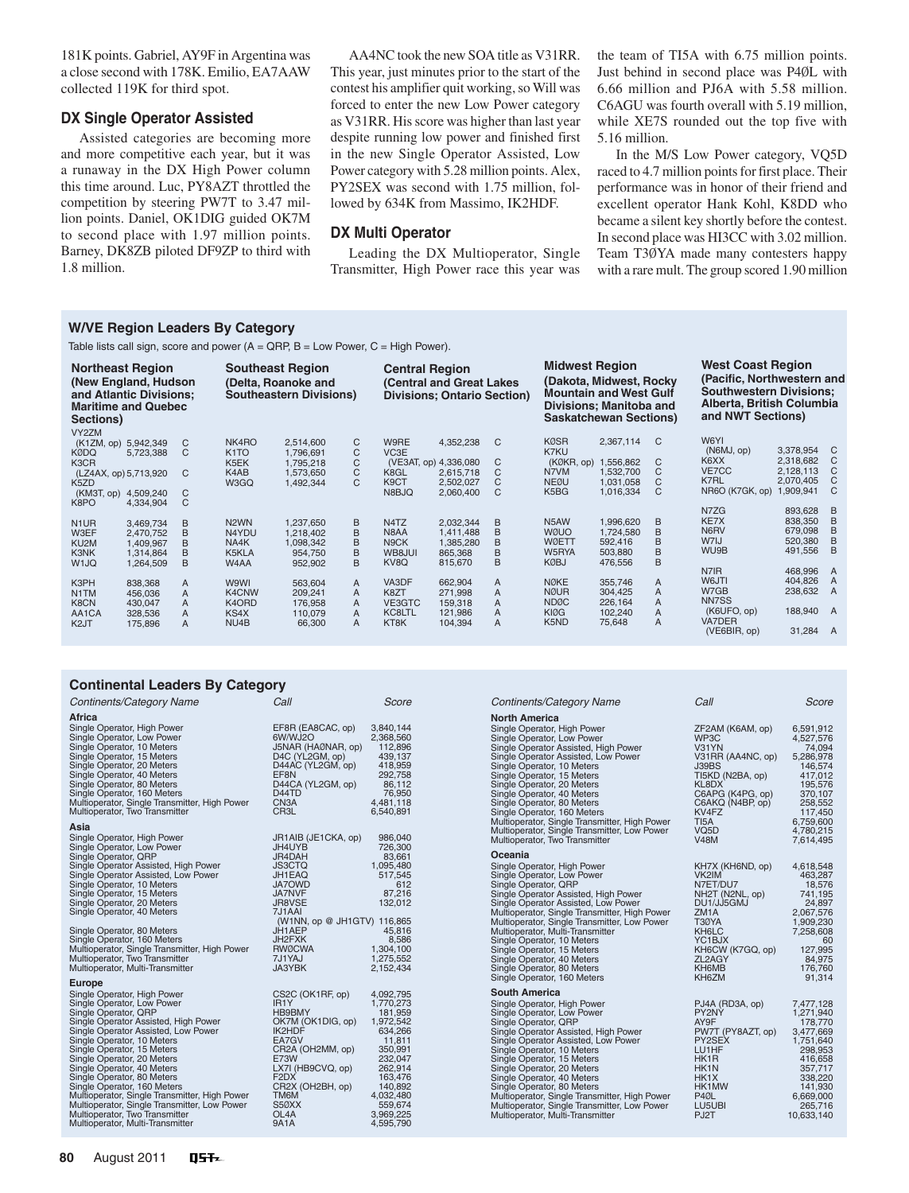181K points. Gabriel, AY9F in Argentina was a close second with 178K. Emilio, EA7AAW collected 119K for third spot.

## **DX Single Operator Assisted**

Assisted categories are becoming more and more competitive each year, but it was a runaway in the DX High Power column this time around. Luc, PY8AZT throttled the competition by steering PW7T to 3.47 million points. Daniel, OK1DIG guided OK7M to second place with 1.97 million points. Barney, DK8ZB piloted DF9ZP to third with 1.8 million.

AA4NC took the new SOA title as V31RR. This year, just minutes prior to the start of the contest his amplifier quit working, so Will was forced to enter the new Low Power category as V31RR. His score was higher than last year despite running low power and finished first in the new Single Operator Assisted, Low Power category with 5.28 million points. Alex, PY2SEX was second with 1.75 million, followed by 634K from Massimo, IK2HDF.

#### **DX Multi Operator**

Leading the DX Multioperator, Single Transmitter, High Power race this year was the team of TI5A with 6.75 million points. Just behind in second place was P4ØL with 6.66 million and PJ6A with 5.58 million. C6AGU was fourth overall with 5.19 million, while XE7S rounded out the top five with 5.16 million.

In the M/S Low Power category, VQ5D raced to 4.7 million points for first place. Their performance was in honor of their friend and excellent operator Hank Kohl, K8DD who became a silent key shortly before the contest. In second place was HI3CC with 3.02 million. Team T3ØYA made many contesters happy with a rare mult. The group scored 1.90 million

### **W/VE Region Leaders By Category**

Table lists call sign, score and power  $(A = \text{QRP}, B = \text{Low Power}, C = \text{High Power})$ .

| <b>Northeast Region</b><br>(New England, Hudson)<br>and Atlantic Divisions;<br><b>Maritime and Quebec</b><br>Sections) |           |   |                    | <b>Southeast Region</b><br>(Delta, Roanoke and<br><b>Southeastern Divisions)</b> |   | <b>Central Region</b>         | (Central and Great Lakes<br><b>Divisions: Ontario Section)</b> |   | <b>Midwest Region</b> | (Dakota, Midwest, Rocky<br><b>Mountain and West Gulf</b><br>Divisions; Manitoba and<br><b>Saskatchewan Sections)</b> |                | <b>West Coast Region</b><br>(Pacific, Northwestern and<br><b>Southwestern Divisions:</b><br>Alberta, British Columbia<br>and NWT Sections) |           |                |
|------------------------------------------------------------------------------------------------------------------------|-----------|---|--------------------|----------------------------------------------------------------------------------|---|-------------------------------|----------------------------------------------------------------|---|-----------------------|----------------------------------------------------------------------------------------------------------------------|----------------|--------------------------------------------------------------------------------------------------------------------------------------------|-----------|----------------|
| VY2ZM                                                                                                                  |           |   |                    |                                                                                  |   |                               |                                                                |   |                       |                                                                                                                      |                | W6YI                                                                                                                                       |           |                |
| (K1ZM, op) 5,942,349                                                                                                   |           | C | NK4RO              | 2.514.600                                                                        | C | W9RE                          | 4,352,238                                                      | C | <b>KØSR</b><br>K7KU   | 2,367,114                                                                                                            | C              | (NGMJ, op)                                                                                                                                 | 3,378,954 | - C            |
| <b>KØDQ</b>                                                                                                            | 5,723,388 | C | K <sub>1</sub> TO  | 1,796,691                                                                        | C | VC <sub>3</sub> E             |                                                                |   |                       |                                                                                                                      |                | K6XX                                                                                                                                       | 2.318.682 | C              |
| K3CR                                                                                                                   |           |   | K5EK               | 1,795,218                                                                        | C | (VE3AT, op) 4,336,080         |                                                                | C | (KØKR, op)            | 1,556,862                                                                                                            | C              | VE7CC                                                                                                                                      | 2,128,113 | C              |
| (LZ4AX, op) 5,713,920                                                                                                  |           | C | K4AB               | 1,573,650                                                                        | C | K8GL                          | 2,615,718                                                      | C | N7VM                  | 1,532,700                                                                                                            | C              |                                                                                                                                            |           | C              |
| K <sub>5</sub> ZD                                                                                                      |           |   | W3GQ               | 1,492,344                                                                        | C | K9CT                          | 2,502,027                                                      | C | <b>NEØU</b>           | 1,031,058                                                                                                            | C              | K7RL                                                                                                                                       | 2,070,405 |                |
| (KM3T, op)                                                                                                             | 4,509,240 | C |                    |                                                                                  |   | N8BJQ                         | 2,060,400                                                      | C | K5BG                  | 1,016,334                                                                                                            | C              | NR6O (K7GK, op)                                                                                                                            | 1,909,941 | C              |
| K8PO                                                                                                                   | 4,334,904 | C |                    |                                                                                  |   |                               |                                                                |   |                       |                                                                                                                      |                |                                                                                                                                            |           |                |
|                                                                                                                        |           |   |                    |                                                                                  |   |                               |                                                                |   |                       |                                                                                                                      |                | N7ZG                                                                                                                                       | 893,628   | - B            |
| N <sub>1</sub> UR                                                                                                      | 3.469.734 | B | N <sub>2</sub> WN  | 1.237.650                                                                        | B | N <sub>4</sub> T <sub>Z</sub> | 2,032,344                                                      | B | N <sub>5</sub> AW     | 1,996,620                                                                                                            | B              | KE7X                                                                                                                                       | 838,350   | B              |
| W3EF                                                                                                                   | 2,470,752 | B | N4YDU              | 1,218,402                                                                        | B | N <sub>8</sub> AA             | 1,411,488                                                      | B | <b>WØUO</b>           | 1,724,580                                                                                                            | B              | N6RV                                                                                                                                       | 679,098   | B              |
| KU <sub>2</sub> M                                                                                                      | 1,409,967 | B | NA4K               | 1,098,342                                                                        | B | N9CK                          | 1,385,280                                                      | B | <b>WØETT</b>          | 592,416                                                                                                              | B              | W7IJ                                                                                                                                       | 520,380   | B              |
| K3NK                                                                                                                   | 1,314,864 | B | K5KLA              | 954.750                                                                          | B | WB8JUI                        | 865,368                                                        | B | W5RYA                 | 503,880                                                                                                              | B              | WU9B                                                                                                                                       | 491,556   | B              |
| W <sub>1JQ</sub>                                                                                                       | 1,264,509 | B | W4AA               | 952,902                                                                          | B | KV8Q                          | 815,670                                                        | B | <b>KØBJ</b>           | 476,556                                                                                                              | B              |                                                                                                                                            |           |                |
|                                                                                                                        |           |   |                    |                                                                                  |   |                               |                                                                |   |                       |                                                                                                                      |                | N7IR                                                                                                                                       | 468,996   | A              |
| K3PH                                                                                                                   | 838,368   | A | W9WI               | 563,604                                                                          | A | VA3DF                         | 662,904                                                        | A | <b>NØKE</b>           | 355,746                                                                                                              | A              | W6JTI                                                                                                                                      | 404,826   | $\overline{A}$ |
| N1TM                                                                                                                   | 456,036   | A | K4CNW              | 209,241                                                                          | A | K8ZT                          | 271,998                                                        | A | <b>NØUR</b>           | 304,425                                                                                                              | A              | W7GB                                                                                                                                       | 238,632   | A              |
| K8CN                                                                                                                   | 430,047   | A | K <sub>4</sub> ORD | 176,958                                                                          | A | VE3GTC                        | 159,318                                                        | A | <b>NDØC</b>           | 226,164                                                                                                              | $\overline{A}$ | NN7SS                                                                                                                                      |           |                |
| AA1CA                                                                                                                  | 328,536   | A | KS4X               | 110.079                                                                          | A | <b>KC8LTL</b>                 | 121,986                                                        | A | <b>KIØG</b>           | 102,240                                                                                                              | A              | (K6UFO, op)                                                                                                                                | 188,940 A |                |
| K <sub>2</sub> JT                                                                                                      | 175,896   | A | NU4B               | 66,300                                                                           | A | KT8K                          | 104,394                                                        | A | K5ND                  | 75,648                                                                                                               | A              | VA7DER                                                                                                                                     |           |                |
|                                                                                                                        |           |   |                    |                                                                                  |   |                               |                                                                |   |                       |                                                                                                                      |                | (VE6BIR, op)                                                                                                                               | 31.284 A  |                |

#### **Continental Leaders By Category**

| Continents/Category Name                                                                                                                                                                                                                                                                                                                                                                                                                                                                                                                      | Call                                                                                                                                                                                                                                  | Score                                                                                                                                                                        |
|-----------------------------------------------------------------------------------------------------------------------------------------------------------------------------------------------------------------------------------------------------------------------------------------------------------------------------------------------------------------------------------------------------------------------------------------------------------------------------------------------------------------------------------------------|---------------------------------------------------------------------------------------------------------------------------------------------------------------------------------------------------------------------------------------|------------------------------------------------------------------------------------------------------------------------------------------------------------------------------|
| Africa<br>Single Operator, High Power<br>Single Operator, Low Power<br>Single Operator, 10 Meters<br>Single Operator, 15 Meters<br>Single Operator, 20 Meters<br>Single Operator, 40 Meters<br>Single Operator, 80 Meters<br>Single Operator, 160 Meters<br>Multioperator, Single Transmitter, High Power<br>Multioperator, Two Transmitter                                                                                                                                                                                                   | EF8R (EA8CAC, op)<br>6W/WJ2O<br>J5NAR (HAØNAR, op)<br>D4C (YL2GM, op)<br>D44AC (YL2GM, op)<br>EF8N<br>D44CA (YL2GM, op)<br>D <sub>44</sub> TD<br>CN <sub>3</sub> A<br>CR <sub>3</sub> L                                               | 3,840,144<br>2,368,560<br>112,896<br>439,137<br>418,959<br>292,758<br>86,112<br>76,950<br>4,481,118<br>6,540,891                                                             |
| Asia<br>Single Operator, High Power<br>Single Operator, Low Power<br>Single Operator, QRP<br>Single Operator Assisted, High Power<br>Single Operator Assisted, Low Power<br>Single Operator, 10 Meters<br>Single Operator, 15 Meters<br>Single Operator, 20 Meters<br>Single Operator, 40 Meters<br>Single Operator, 80 Meters<br>Single Operator, 160 Meters<br>Multioperator, Single Transmitter, High Power<br>Multioperator, Two Transmitter<br>Multioperator, Multi-Transmitter                                                          | JR1AIB (JE1CKA, op)<br>JH4UYB<br>JR4DAH<br>JS3CTQ<br>JH1EAQ<br>JA7OWD<br>JA7NVF<br>JR8VSE<br>7J1AAI<br>(W1NN, op @ JH1GTV) 116,865<br>JH1AEP<br>JH2FXK<br><b>RWØCWA</b><br>7J1YAJ<br>JA3YBK                                           | 986,040<br>726,300<br>83,661<br>1,095,480<br>517,545<br>612<br>87,216<br>132,012<br>45,816<br>8,586<br>1,304,100<br>1,275,552<br>2,152,434                                   |
| <b>Europe</b><br>Single Operator, High Power<br>Single Operator, Low Power<br>Single Operator, QRP<br>Single Operator Assisted, High Power<br>Single Operator Assisted, Low Power<br>Single Operator, 10 Meters<br>Single Operator, 15 Meters<br>Single Operator, 20 Meters<br>Single Operator, 40 Meters<br>Single Operator, 80 Meters<br>Single Operator, 160 Meters<br>Multioperator, Single Transmitter, High Power<br>Multioperator, Single Transmitter, Low Power<br>Multioperator, Two Transmitter<br>Multioperator, Multi-Transmitter | CS2C (OK1RF, op)<br>IR <sub>1</sub> Y<br>HB9BMY<br>OK7M (OK1DIG, op)<br>IK2HDF<br>EA7GV<br>CR2A (OH2MM, op)<br><b>E73W</b><br>LX7I (HB9CVQ, op)<br>F <sub>2</sub> D <sub>X</sub><br>CR2X (OH2BH, op)<br>TM6M<br>S50XX<br>OL4A<br>9A1A | 4,092,795<br>1,770,273<br>181,959<br>1,972,542<br>634,266<br>11,811<br>350,991<br>232,047<br>262,914<br>163,476<br>140,892<br>4,032,480<br>559,674<br>3,969,225<br>4,595,790 |

| Continents/Category Name                                                                                                                                                                                                                                                                                                                                                                                                                                                                 | Call                                                                                                                                                                                                                | Score                                                                                                                                                    |
|------------------------------------------------------------------------------------------------------------------------------------------------------------------------------------------------------------------------------------------------------------------------------------------------------------------------------------------------------------------------------------------------------------------------------------------------------------------------------------------|---------------------------------------------------------------------------------------------------------------------------------------------------------------------------------------------------------------------|----------------------------------------------------------------------------------------------------------------------------------------------------------|
| <b>North America</b><br>Single Operator, High Power<br>Single Operator, Low Power<br>Single Operator Assisted, High Power<br>Single Operator Assisted, Low Power<br>Single Operator, 10 Meters<br>Single Operator, 15 Meters<br>Single Operator, 20 Meters<br>Single Operator, 40 Meters<br>Single Operator, 80 Meters<br>Single Operator, 160 Meters<br>Multioperator, Single Transmitter, High Power<br>Multioperator, Single Transmitter, Low Power<br>Multioperator, Two Transmitter | ZF2AM (K6AM, op)<br>WP <sub>3</sub> C<br>V31YN<br>V31RR (AA4NC, op)<br>J39BS<br>TI5KD (N2BA, op)<br>KL8DX<br>C6APG (K4PG, op)<br>C6AKQ (N4BP, op)<br>KV4FZ<br>T <sub>15</sub> A<br>VQ <sub>5</sub> D<br><b>V48M</b> | 6,591,912<br>4,527,576<br>74,094<br>5,286,978<br>146,574<br>417,012<br>195,576<br>370,107<br>258,552<br>117,450<br>6,759,600<br>4,780,215<br>7,614,495   |
| Oceania<br>Single Operator, High Power<br>Single Operator, Low Power<br>Single Operator, QRP<br>Single Operator Assisted, High Power<br>Single Operator Assisted, Low Power<br>Multioperator, Single Transmitter, High Power<br>Multioperator, Single Transmitter, Low Power<br>Multioperator, Multi-Transmitter<br>Single Operator, 10 Meters<br>Single Operator, 15 Meters<br>Single Operator, 40 Meters<br>Single Operator, 80 Meters<br>Single Operator, 160 Meters                  | KH7X (KH6ND, op)<br>VK2IM<br>N7ET/DU7<br>NH2T (N2NL, op)<br>DU1/JJ5GMJ<br>ZM <sub>1</sub> A<br>T30YA<br>KH6LC<br>YC <sub>1</sub> BJX<br>KH6CW (K7GQ, op)<br>ZL2AGY<br>KH6MB<br>KH6ZM                                | 4,618,548<br>463,287<br>18,576<br>741,195<br>24,897<br>2,067,576<br>1,909,230<br>7,258,608<br>60<br>127,995<br>84,975<br>176,760<br>91,314               |
| <b>South America</b><br>Single Operator, High Power<br>Single Operator, Low Power<br>Single Operator, QRP<br>Single Operator Assisted, High Power<br>Single Operator Assisted, Low Power<br>Single Operator, 10 Meters<br>Single Operator, 15 Meters<br>Single Operator, 20 Meters<br>Single Operator, 40 Meters<br>Single Operator, 80 Meters<br>Multioperator, Single Transmitter, High Power<br>Multioperator, Single Transmitter, Low Power<br>Multioperator, Multi-Transmitter      | PJ4A (RD3A, op)<br>PY2NY<br>AY9F<br>PW7T (PY8AZT, op)<br>PY2SEX<br>LU1HF<br>HK1R<br>HK <sub>1N</sub><br>HK1X<br>HK1MW<br>P <sub>40</sub> L<br>LU5UBI<br>PJ2T                                                        | 7,477,128<br>1,271,940<br>178,770<br>3,477,669<br>1,751,640<br>298,953<br>416,658<br>357,717<br>338,220<br>141,930<br>6,669,000<br>265,716<br>10,633,140 |